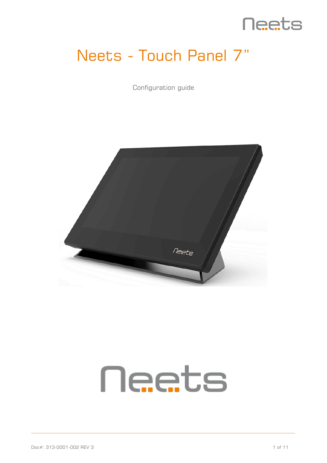

# Neets - Touch Panel 7"

Configuration guide



# **Neets**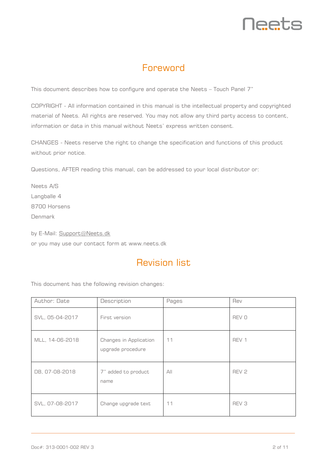# <u>Neets</u>

## Foreword

<span id="page-1-0"></span>This document describes how to configure and operate the Neets – Touch Panel 7"

COPYRIGHT - All information contained in this manual is the intellectual property and copyrighted material of Neets. All rights are reserved. You may not allow any third party access to content, information or data in this manual without Neets' express written consent.

CHANGES - Neets reserve the right to change the specification and functions of this product without prior notice.

Questions, AFTER reading this manual, can be addressed to your local distributor or:

Neets A/S Langballe 4 8700 Horsens Denmark

by E-Mail: [Support@Neets.dk](mailto:Support@Neets.dk) or you may use our contact form at www.neets.dk

## Revision list

<span id="page-1-1"></span>This document has the following revision changes:

| Author: Date    | Description                                 | Pages | Rev              |
|-----------------|---------------------------------------------|-------|------------------|
| SVL, 05-04-2017 | First version                               |       | REV 0            |
| MLL, 14-06-2018 | Changes in Application<br>upgrade procedure | 11    | REV 1            |
| DB, 07-08-2018  | 7" added to product<br>name                 | AlI   | REV <sub>2</sub> |
| SVL, 07-08-2017 | Change upgrade text                         | 11    | REV <sub>3</sub> |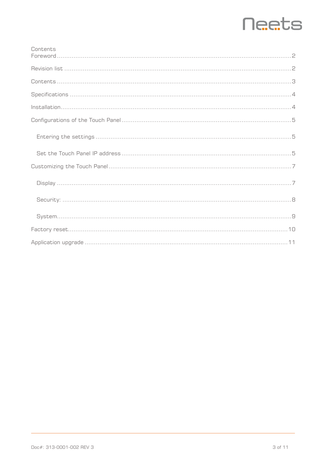# **Neets**

<span id="page-2-0"></span>

| Contents |
|----------|
|          |
|          |
|          |
|          |
|          |
|          |
|          |
|          |
|          |
|          |
|          |
|          |
|          |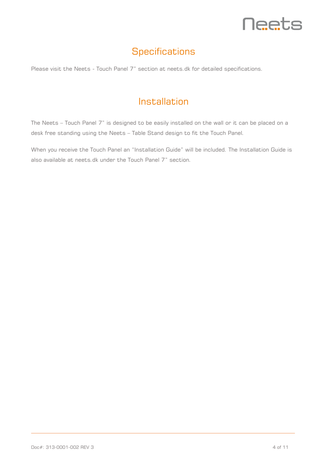

## **Specifications**

<span id="page-3-0"></span>Please visit the Neets - Touch Panel 7" section at neets.dk for detailed specifications.

## Installation

<span id="page-3-1"></span>The Neets – Touch Panel 7" is designed to be easily installed on the wall or it can be placed on a desk free standing using the Neets – Table Stand design to fit the Touch Panel.

When you receive the Touch Panel an "Installation Guide" will be included. The Installation Guide is also available at neets.dk under the Touch Panel 7" section.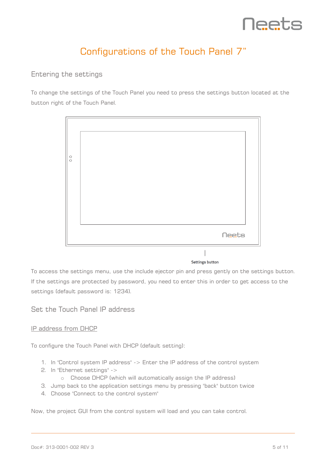

## Configurations of the Touch Panel 7"

#### <span id="page-4-1"></span><span id="page-4-0"></span>Entering the settings

To change the settings of the Touch Panel you need to press the settings button located at the button right of the Touch Panel.



#### **Settings button**

To access the settings menu, use the include ejector pin and press gently on the settings button. If the settings are protected by password, you need to enter this in order to get access to the settings (default password is: 1234).

#### <span id="page-4-2"></span>Set the Touch Panel IP address

#### IP address from DHCP

To configure the Touch Panel with DHCP (default setting):

- 1. In "Control system IP address" -> Enter the IP address of the control system
- 2. In "Ethernet settings" ->
	- o Choose DHCP (which will automatically assign the IP address)
- 3. Jump back to the application settings menu by pressing "back" button twice
- 4. Choose "Connect to the control system"

Now, the project GUI from the control system will load and you can take control.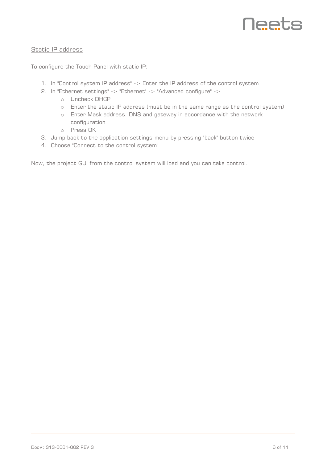

#### Static IP address

To configure the Touch Panel with static IP:

- 1. In "Control system IP address" -> Enter the IP address of the control system
- 2. In "Ethernet settings" -> "Ethernet" -> "Advanced configure" ->
	- o Uncheck DHCP
	- o Enter the static IP address (must be in the same range as the control system)
	- o Enter Mask address, DNS and gateway in accordance with the network configuration
	- o Press OK
- 3. Jump back to the application settings menu by pressing "back" button twice
- 4. Choose "Connect to the control system"

Now, the project GUI from the control system will load and you can take control.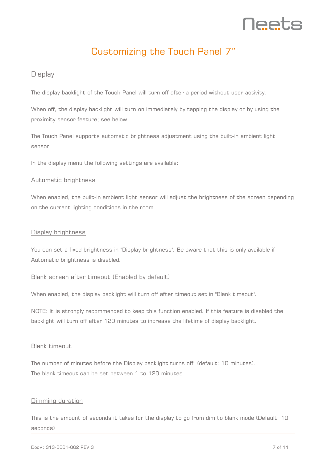

## Customizing the Touch Panel 7"

#### <span id="page-6-1"></span><span id="page-6-0"></span>**Display**

The display backlight of the Touch Panel will turn off after a period without user activity.

When off, the display backlight will turn on immediately by tapping the display or by using the proximity sensor feature; see below.

The Touch Panel supports automatic brightness adjustment using the built-in ambient light sensor.

In the display menu the following settings are available:

#### Automatic brightness

When enabled, the built-in ambient light sensor will adjust the brightness of the screen depending on the current lighting conditions in the room

#### Display brightness

You can set a fixed brightness in "Display brightness". Be aware that this is only available if Automatic brightness is disabled.

#### Blank screen after timeout (Enabled by default)

When enabled, the display backlight will turn off after timeout set in "Blank timeout".

NOTE: It is strongly recommended to keep this function enabled. If this feature is disabled the backlight will turn off after 120 minutes to increase the lifetime of display backlight.

#### Blank timeout

The number of minutes before the Display backlight turns off. (default: 10 minutes). The blank timeout can be set between 1 to 120 minutes.

#### Dimming duration

This is the amount of seconds it takes for the display to go from dim to blank mode (Default: 10 seconds)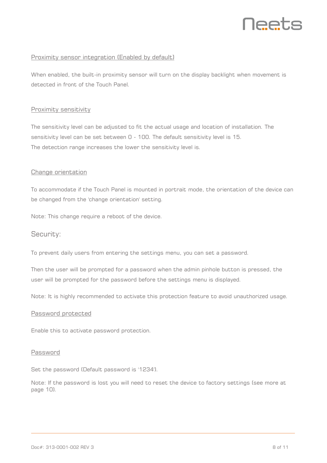

#### Proximity sensor integration (Enabled by default)

When enabled, the built-in proximity sensor will turn on the display backlight when movement is detected in front of the Touch Panel.

#### Proximity sensitivity

The sensitivity level can be adjusted to fit the actual usage and location of installation. The sensitivity level can be set between 0 - 100. The default sensitivity level is 15. The detection range increases the lower the sensitivity level is.

#### Change orientation

To accommodate if the Touch Panel is mounted in portrait mode, the orientation of the device can be changed from the 'change orientation' setting.

Note: This change require a reboot of the device.

#### <span id="page-7-0"></span>Security:

To prevent daily users from entering the settings menu, you can set a password.

Then the user will be prompted for a password when the admin pinhole button is pressed, the user will be prompted for the password before the settings menu is displayed.

Note: It is highly recommended to activate this protection feature to avoid unauthorized usage.

#### Password protected

Enable this to activate password protection.

#### Password

Set the password (Default password is '1234').

Note: If the password is lost you will need to reset the device to factory settings (see more at page [10\)](#page-9-0).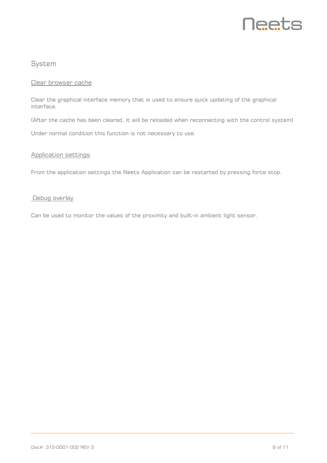

#### <span id="page-8-0"></span>System

#### Clear browser cache

Clear the graphical interface memory that is used to ensure quick updating of the graphical interface.

(After the cache has been cleared, it will be reloaded when reconnecting with the control system)

Under normal condition this function is not necessary to use.

#### Application settings

From the application settings the Neets Application can be restarted by pressing force stop.

#### Debug overlay

Can be used to monitor the values of the proximity and built-in ambient light sensor.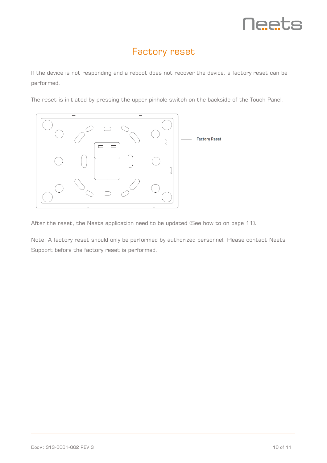

### Factory reset

<span id="page-9-0"></span>If the device is not responding and a reboot does not recover the device, a factory reset can be performed.

The reset is initiated by pressing the upper pinhole switch on the backside of the Touch Panel.



After the reset, the Neets application need to be updated (See how to on page [11\)](#page-10-0).

Note: A factory reset should only be performed by authorized personnel. Please contact Neets Support before the factory reset is performed.